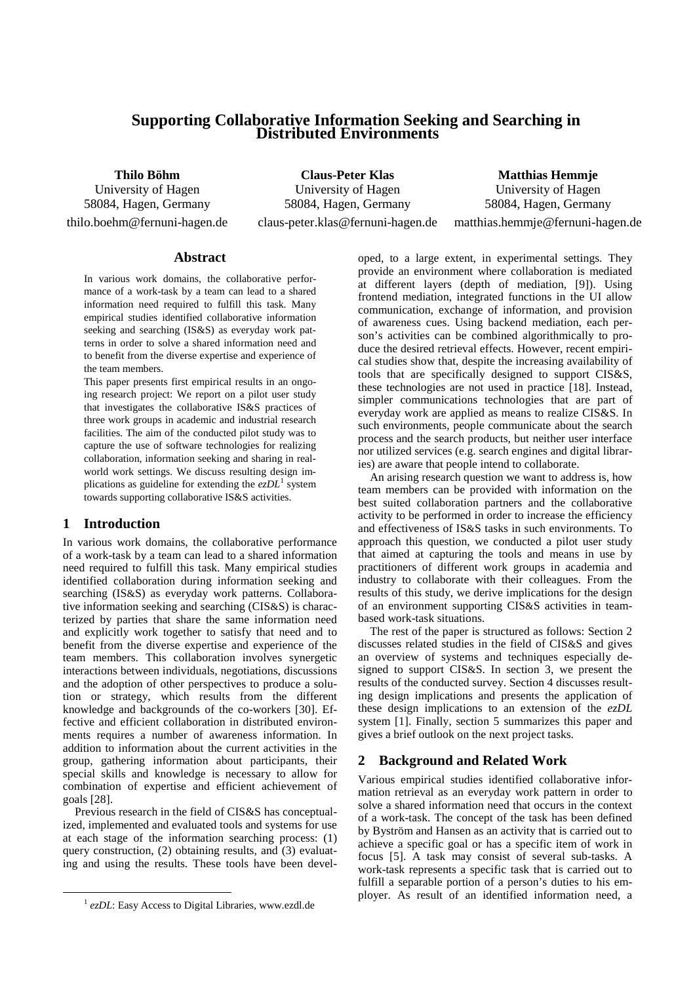# **Supporting Collaborative Information Seeking and Searching in Distributed Environments**

**Thilo Böhm**  University of Hagen

58084, Hagen, Germany thilo.boehm@fernuni-hagen.de

**Claus-Peter Klas**  University of Hagen 58084, Hagen, Germany claus-peter.klas@fernuni-hagen.de

**Matthias Hemmje**  University of Hagen 58084, Hagen, Germany matthias.hemmje@fernuni-hagen.de

## **Abstract**

In various work domains, the collaborative performance of a work-task by a team can lead to a shared information need required to fulfill this task. Many empirical studies identified collaborative information seeking and searching (IS&S) as everyday work patterns in order to solve a shared information need and to benefit from the diverse expertise and experience of the team members.

This paper presents first empirical results in an ongoing research project: We report on a pilot user study that investigates the collaborative IS&S practices of three work groups in academic and industrial research facilities. The aim of the conducted pilot study was to capture the use of software technologies for realizing collaboration, information seeking and sharing in realworld work settings. We discuss resulting design implications as guideline for extending the  $e z D L<sup>1</sup>$  system towards supporting collaborative IS&S activities.

## **1 Introduction**

 $\overline{a}$ 

In various work domains, the collaborative performance of a work-task by a team can lead to a shared information need required to fulfill this task. Many empirical studies identified collaboration during information seeking and searching (IS&S) as everyday work patterns. Collaborative information seeking and searching (CIS&S) is characterized by parties that share the same information need and explicitly work together to satisfy that need and to benefit from the diverse expertise and experience of the team members. This collaboration involves synergetic interactions between individuals, negotiations, discussions and the adoption of other perspectives to produce a solution or strategy, which results from the different knowledge and backgrounds of the co-workers [30]. Effective and efficient collaboration in distributed environments requires a number of awareness information. In addition to information about the current activities in the group, gathering information about participants, their special skills and knowledge is necessary to allow for combination of expertise and efficient achievement of goals [28].

Previous research in the field of CIS&S has conceptualized, implemented and evaluated tools and systems for use at each stage of the information searching process: (1) query construction, (2) obtaining results, and (3) evaluating and using the results. These tools have been developed, to a large extent, in experimental settings. They provide an environment where collaboration is mediated at different layers (depth of mediation, [9]). Using frontend mediation, integrated functions in the UI allow communication, exchange of information, and provision of awareness cues. Using backend mediation, each person's activities can be combined algorithmically to produce the desired retrieval effects. However, recent empirical studies show that, despite the increasing availability of tools that are specifically designed to support CIS&S, these technologies are not used in practice [18]. Instead, simpler communications technologies that are part of everyday work are applied as means to realize CIS&S. In such environments, people communicate about the search process and the search products, but neither user interface nor utilized services (e.g. search engines and digital libraries) are aware that people intend to collaborate.

An arising research question we want to address is, how team members can be provided with information on the best suited collaboration partners and the collaborative activity to be performed in order to increase the efficiency and effectiveness of IS&S tasks in such environments. To approach this question, we conducted a pilot user study that aimed at capturing the tools and means in use by practitioners of different work groups in academia and industry to collaborate with their colleagues. From the results of this study, we derive implications for the design of an environment supporting CIS&S activities in teambased work-task situations.

The rest of the paper is structured as follows: Section 2 discusses related studies in the field of CIS&S and gives an overview of systems and techniques especially designed to support CIS&S. In section 3, we present the results of the conducted survey. Section 4 discusses resulting design implications and presents the application of these design implications to an extension of the *ezDL* system [1]. Finally, section 5 summarizes this paper and gives a brief outlook on the next project tasks.

## **2 Background and Related Work**

Various empirical studies identified collaborative information retrieval as an everyday work pattern in order to solve a shared information need that occurs in the context of a work-task. The concept of the task has been defined by Byström and Hansen as an activity that is carried out to achieve a specific goal or has a specific item of work in focus [5]. A task may consist of several sub-tasks. A work-task represents a specific task that is carried out to fulfill a separable portion of a person's duties to his employer. As result of an identified information need, a

<sup>&</sup>lt;sup>1</sup> ezDL: Easy Access to Digital Libraries, www.ezdl.de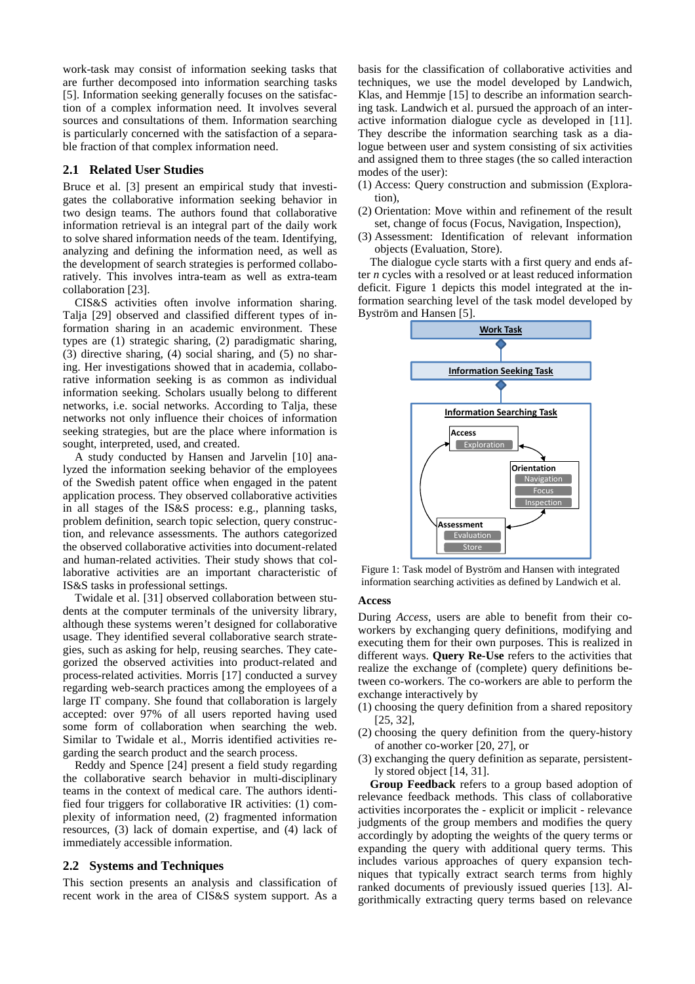work-task may consist of information seeking tasks that are further decomposed into information searching tasks [5]. Information seeking generally focuses on the satisfaction of a complex information need. It involves several sources and consultations of them. Information searching is particularly concerned with the satisfaction of a separable fraction of that complex information need.

## **2.1 Related User Studies**

Bruce et al. [3] present an empirical study that investigates the collaborative information seeking behavior in two design teams. The authors found that collaborative information retrieval is an integral part of the daily work to solve shared information needs of the team. Identifying, analyzing and defining the information need, as well as the development of search strategies is performed collaboratively. This involves intra-team as well as extra-team collaboration [23].

CIS&S activities often involve information sharing. Talja [29] observed and classified different types of information sharing in an academic environment. These types are (1) strategic sharing, (2) paradigmatic sharing, (3) directive sharing, (4) social sharing, and (5) no sharing. Her investigations showed that in academia, collaborative information seeking is as common as individual information seeking. Scholars usually belong to different networks, i.e. social networks. According to Talja, these networks not only influence their choices of information seeking strategies, but are the place where information is sought, interpreted, used, and created.

A study conducted by Hansen and Jarvelin [10] analyzed the information seeking behavior of the employees of the Swedish patent office when engaged in the patent application process. They observed collaborative activities in all stages of the IS&S process: e.g., planning tasks, problem definition, search topic selection, query construction, and relevance assessments. The authors categorized the observed collaborative activities into document-related and human-related activities. Their study shows that collaborative activities are an important characteristic of IS&S tasks in professional settings.

Twidale et al. [31] observed collaboration between students at the computer terminals of the university library, although these systems weren't designed for collaborative usage. They identified several collaborative search strategies, such as asking for help, reusing searches. They categorized the observed activities into product-related and process-related activities. Morris [17] conducted a survey regarding web-search practices among the employees of a large IT company. She found that collaboration is largely accepted: over 97% of all users reported having used some form of collaboration when searching the web. Similar to Twidale et al., Morris identified activities regarding the search product and the search process.

Reddy and Spence [24] present a field study regarding the collaborative search behavior in multi-disciplinary teams in the context of medical care. The authors identified four triggers for collaborative IR activities: (1) complexity of information need, (2) fragmented information resources, (3) lack of domain expertise, and (4) lack of immediately accessible information.

## **2.2 Systems and Techniques**

This section presents an analysis and classification of recent work in the area of CIS&S system support. As a basis for the classification of collaborative activities and techniques, we use the model developed by Landwich, Klas, and Hemmje [15] to describe an information searching task. Landwich et al. pursued the approach of an interactive information dialogue cycle as developed in [11]. They describe the information searching task as a dialogue between user and system consisting of six activities and assigned them to three stages (the so called interaction modes of the user):

- (1) Access: Query construction and submission (Exploration),
- (2) Orientation: Move within and refinement of the result set, change of focus (Focus, Navigation, Inspection),
- (3) Assessment: Identification of relevant information objects (Evaluation, Store).

The dialogue cycle starts with a first query and ends after *n* cycles with a resolved or at least reduced information deficit. Figure 1 depicts this model integrated at the information searching level of the task model developed by Byström and Hansen [5].



Figure 1: Task model of Byström and Hansen with integrated information searching activities as defined by Landwich et al.

#### **Access**

During *Access*, users are able to benefit from their coworkers by exchanging query definitions, modifying and executing them for their own purposes. This is realized in different ways. **Query Re-Use** refers to the activities that realize the exchange of (complete) query definitions between co-workers. The co-workers are able to perform the exchange interactively by

- (1) choosing the query definition from a shared repository [25, 32],
- (2) choosing the query definition from the query-history of another co-worker [20, 27], or
- (3) exchanging the query definition as separate, persistently stored object [14, 31].

**Group Feedback** refers to a group based adoption of relevance feedback methods. This class of collaborative activities incorporates the - explicit or implicit - relevance judgments of the group members and modifies the query accordingly by adopting the weights of the query terms or expanding the query with additional query terms. This includes various approaches of query expansion techniques that typically extract search terms from highly ranked documents of previously issued queries [13]. Algorithmically extracting query terms based on relevance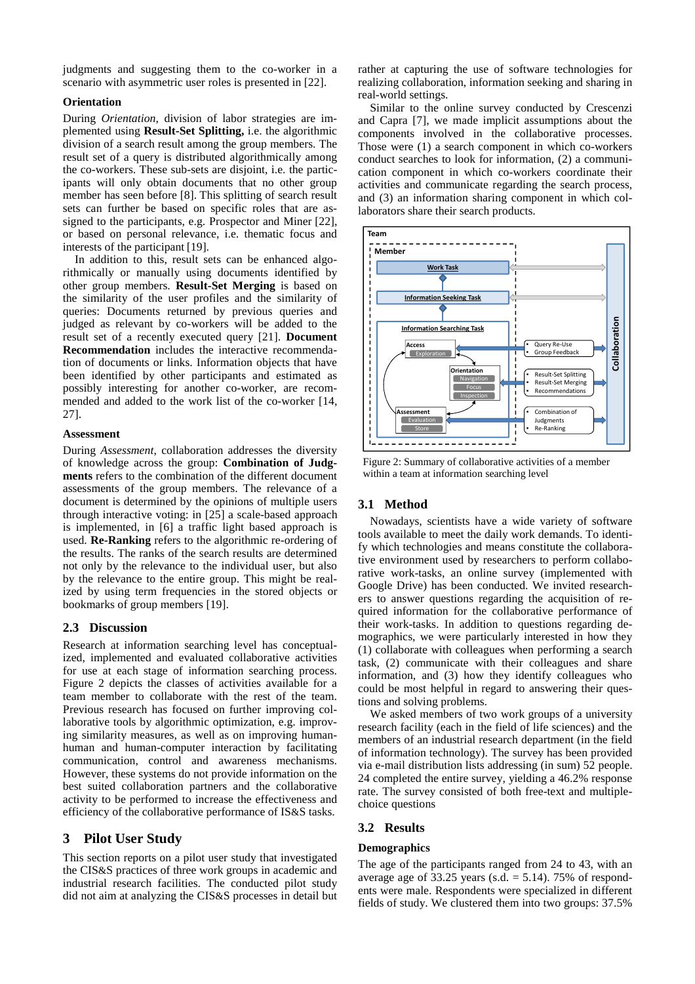judgments and suggesting them to the co-worker in a scenario with asymmetric user roles is presented in [22].

### **Orientation**

During *Orientation*, division of labor strategies are implemented using **Result-Set Splitting,** i.e. the algorithmic division of a search result among the group members. The result set of a query is distributed algorithmically among the co-workers. These sub-sets are disjoint, i.e. the participants will only obtain documents that no other group member has seen before [8]. This splitting of search result sets can further be based on specific roles that are assigned to the participants, e.g. Prospector and Miner [22], or based on personal relevance, i.e. thematic focus and interests of the participant [19].

In addition to this, result sets can be enhanced algorithmically or manually using documents identified by other group members. **Result-Set Merging** is based on the similarity of the user profiles and the similarity of queries: Documents returned by previous queries and judged as relevant by co-workers will be added to the result set of a recently executed query [21]. **Document Recommendation** includes the interactive recommendation of documents or links. Information objects that have been identified by other participants and estimated as possibly interesting for another co-worker, are recommended and added to the work list of the co-worker [14, 27].

## **Assessment**

During *Assessment*, collaboration addresses the diversity of knowledge across the group: **Combination of Judgments** refers to the combination of the different document assessments of the group members. The relevance of a document is determined by the opinions of multiple users through interactive voting: in [25] a scale-based approach is implemented, in [6] a traffic light based approach is used. **Re-Ranking** refers to the algorithmic re-ordering of the results. The ranks of the search results are determined not only by the relevance to the individual user, but also by the relevance to the entire group. This might be realized by using term frequencies in the stored objects or bookmarks of group members [19].

### **2.3 Discussion**

Research at information searching level has conceptualized, implemented and evaluated collaborative activities for use at each stage of information searching process. Figure 2 depicts the classes of activities available for a team member to collaborate with the rest of the team. Previous research has focused on further improving collaborative tools by algorithmic optimization, e.g. improving similarity measures, as well as on improving humanhuman and human-computer interaction by facilitating communication, control and awareness mechanisms. However, these systems do not provide information on the best suited collaboration partners and the collaborative activity to be performed to increase the effectiveness and efficiency of the collaborative performance of IS&S tasks.

## **3 Pilot User Study**

This section reports on a pilot user study that investigated the CIS&S practices of three work groups in academic and industrial research facilities. The conducted pilot study did not aim at analyzing the CIS&S processes in detail but rather at capturing the use of software technologies for realizing collaboration, information seeking and sharing in real-world settings.

Similar to the online survey conducted by Crescenzi and Capra [7], we made implicit assumptions about the components involved in the collaborative processes. Those were (1) a search component in which co-workers conduct searches to look for information, (2) a communication component in which co-workers coordinate their activities and communicate regarding the search process, and (3) an information sharing component in which collaborators share their search products.



Figure 2: Summary of collaborative activities of a member within a team at information searching level

### **3.1 Method**

Nowadays, scientists have a wide variety of software tools available to meet the daily work demands. To identify which technologies and means constitute the collaborative environment used by researchers to perform collaborative work-tasks, an online survey (implemented with Google Drive) has been conducted. We invited researchers to answer questions regarding the acquisition of required information for the collaborative performance of their work-tasks. In addition to questions regarding demographics, we were particularly interested in how they (1) collaborate with colleagues when performing a search task, (2) communicate with their colleagues and share information, and (3) how they identify colleagues who could be most helpful in regard to answering their questions and solving problems.

We asked members of two work groups of a university research facility (each in the field of life sciences) and the members of an industrial research department (in the field of information technology). The survey has been provided via e-mail distribution lists addressing (in sum) 52 people. 24 completed the entire survey, yielding a 46.2% response rate. The survey consisted of both free-text and multiplechoice questions

#### **3.2 Results**

#### **Demographics**

The age of the participants ranged from 24 to 43, with an average age of  $33.25$  years (s.d. = 5.14). 75% of respondents were male. Respondents were specialized in different fields of study. We clustered them into two groups: 37.5%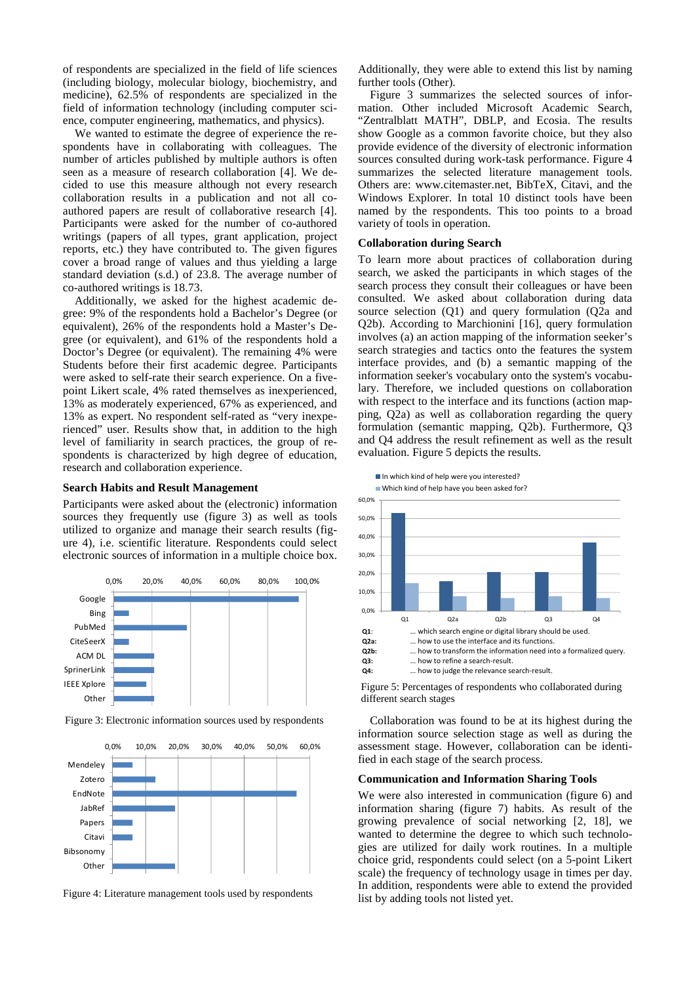of respondents are specialized in the field of life sciences (including biology, molecular biology, biochemistry, and medicine), 62.5% of respondents are specialized in the field of information technology (including computer science, computer engineering, mathematics, and physics).

We wanted to estimate the degree of experience the respondents have in collaborating with colleagues. The number of articles published by multiple authors is often seen as a measure of research collaboration [4]. We decided to use this measure although not every research collaboration results in a publication and not all coauthored papers are result of collaborative research [4]. Participants were asked for the number of co-authored writings (papers of all types, grant application, project reports, etc.) they have contributed to. The given figures cover a broad range of values and thus yielding a large standard deviation (s.d.) of 23.8. The average number of co-authored writings is 18.73.

Additionally, we asked for the highest academic degree: 9% of the respondents hold a Bachelor's Degree (or equivalent), 26% of the respondents hold a Master's Degree (or equivalent), and 61% of the respondents hold a Doctor's Degree (or equivalent). The remaining 4% were Students before their first academic degree. Participants were asked to self-rate their search experience. On a fivepoint Likert scale, 4% rated themselves as inexperienced, 13% as moderately experienced, 67% as experienced, and 13% as expert. No respondent self-rated as "very inexperienced" user. Results show that, in addition to the high level of familiarity in search practices, the group of respondents is characterized by high degree of education, research and collaboration experience.

#### **Search Habits and Result Management**

Participants were asked about the (electronic) information sources they frequently use (figure 3) as well as tools utilized to organize and manage their search results (figure 4), i.e. scientific literature. Respondents could select electronic sources of information in a multiple choice box.



Figure 3: Electronic information sources used by respondents



Additionally, they were able to extend this list by naming further tools (Other).

Figure 3 summarizes the selected sources of information. Other included Microsoft Academic Search, "Zentralblatt MATH", DBLP, and Ecosia. The results show Google as a common favorite choice, but they also provide evidence of the diversity of electronic information sources consulted during work-task performance. Figure 4 summarizes the selected literature management tools. Others are: www.citemaster.net, BibTeX, Citavi, and the Windows Explorer. In total 10 distinct tools have been named by the respondents. This too points to a broad variety of tools in operation.

#### **Collaboration during Search**

To learn more about practices of collaboration during search, we asked the participants in which stages of the search process they consult their colleagues or have been consulted. We asked about collaboration during data source selection (Q1) and query formulation (Q2a and Q2b). According to Marchionini [16], query formulation involves (a) an action mapping of the information seeker's search strategies and tactics onto the features the system interface provides, and (b) a semantic mapping of the information seeker's vocabulary onto the system's vocabulary. Therefore, we included questions on collaboration with respect to the interface and its functions (action mapping, Q2a) as well as collaboration regarding the query formulation (semantic mapping, Q2b). Furthermore, Q3 and Q4 address the result refinement as well as the result evaluation. Figure 5 depicts the results.



Figure 5: Percentages of respondents who collaborated during different search stages

Collaboration was found to be at its highest during the information source selection stage as well as during the assessment stage. However, collaboration can be identified in each stage of the search process.

#### **Communication and Information Sharing Tools**

We were also interested in communication (figure 6) and information sharing (figure 7) habits. As result of the growing prevalence of social networking [2, 18], we wanted to determine the degree to which such technologies are utilized for daily work routines. In a multiple choice grid, respondents could select (on a 5-point Likert scale) the frequency of technology usage in times per day. In addition, respondents were able to extend the provided Figure 4: Literature management tools used by respondents list by adding tools not listed yet.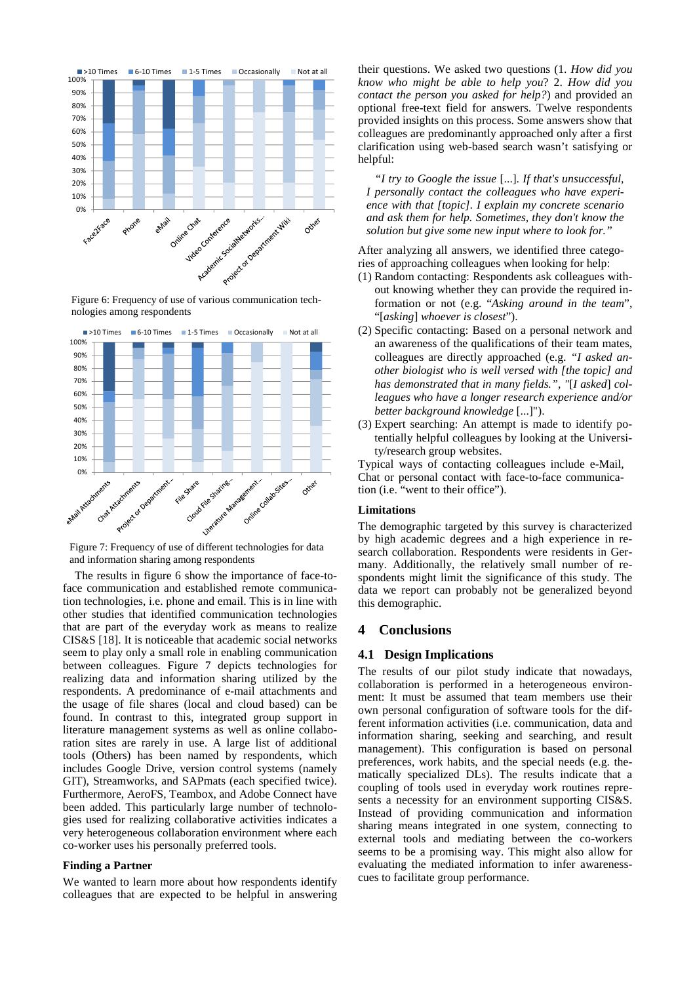

Figure 6: Frequency of use of various communication technologies among respondents



and information sharing among respondents

The results in figure 6 show the importance of face-toface communication and established remote communication technologies, i.e. phone and email. This is in line with other studies that identified communication technologies that are part of the everyday work as means to realize CIS&S [18]. It is noticeable that academic social networks seem to play only a small role in enabling communication between colleagues. Figure 7 depicts technologies for realizing data and information sharing utilized by the respondents. A predominance of e-mail attachments and the usage of file shares (local and cloud based) can be found. In contrast to this, integrated group support in literature management systems as well as online collaboration sites are rarely in use. A large list of additional tools (Others) has been named by respondents, which includes Google Drive, version control systems (namely GIT), Streamworks, and SAPmats (each specified twice). Furthermore, AeroFS, Teambox, and Adobe Connect have been added. This particularly large number of technologies used for realizing collaborative activities indicates a very heterogeneous collaboration environment where each co-worker uses his personally preferred tools.

## **Finding a Partner**

We wanted to learn more about how respondents identify colleagues that are expected to be helpful in answering their questions. We asked two questions (1. *How did you know who might be able to help you*? 2. *How did you contact the person you asked for help?*) and provided an optional free-text field for answers. Twelve respondents provided insights on this process. Some answers show that colleagues are predominantly approached only after a first clarification using web-based search wasn't satisfying or helpful:

*"I try to Google the issue* [...]. *If that's unsuccessful, I personally contact the colleagues who have experience with that [topic]. I explain my concrete scenario and ask them for help. Sometimes, they don't know the solution but give some new input where to look for."* 

After analyzing all answers, we identified three categories of approaching colleagues when looking for help:

- (1) Random contacting: Respondents ask colleagues without knowing whether they can provide the required information or not (e.g. "*Asking around in the team*", "[*asking*] *whoever is closest*").
- (2) Specific contacting: Based on a personal network and an awareness of the qualifications of their team mates, colleagues are directly approached (e.g. *"I asked another biologist who is well versed with [the topic] and has demonstrated that in many fields."*, *"*[*I asked*] *colleagues who have a longer research experience and/or better background knowledge* [...]").
- (3) Expert searching: An attempt is made to identify potentially helpful colleagues by looking at the University/research group websites.

Typical ways of contacting colleagues include e-Mail, Chat or personal contact with face-to-face communication (i.e. "went to their office").

## **Limitations**

The demographic targeted by this survey is characterized by high academic degrees and a high experience in research collaboration. Respondents were residents in Germany. Additionally, the relatively small number of respondents might limit the significance of this study. The data we report can probably not be generalized beyond this demographic.

#### **4 Conclusions**

#### **4.1 Design Implications**

The results of our pilot study indicate that nowadays, collaboration is performed in a heterogeneous environment: It must be assumed that team members use their own personal configuration of software tools for the different information activities (i.e. communication, data and information sharing, seeking and searching, and result management). This configuration is based on personal preferences, work habits, and the special needs (e.g. thematically specialized DLs). The results indicate that a coupling of tools used in everyday work routines represents a necessity for an environment supporting CIS&S. Instead of providing communication and information sharing means integrated in one system, connecting to external tools and mediating between the co-workers seems to be a promising way. This might also allow for evaluating the mediated information to infer awarenesscues to facilitate group performance.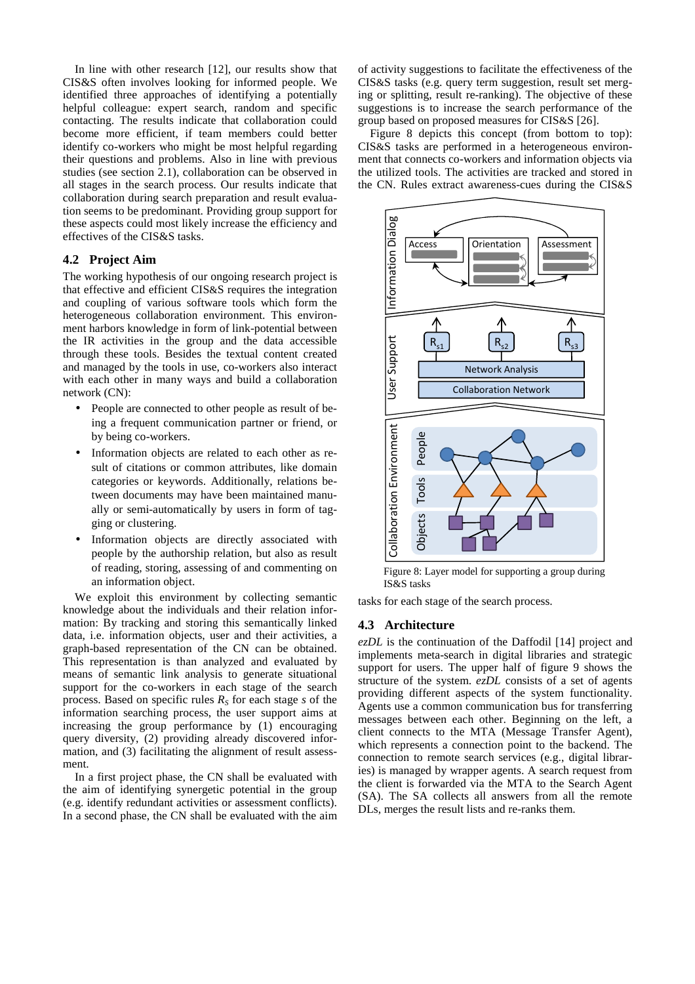In line with other research [12], our results show that CIS&S often involves looking for informed people. We identified three approaches of identifying a potentially helpful colleague: expert search, random and specific contacting. The results indicate that collaboration could become more efficient, if team members could better identify co-workers who might be most helpful regarding their questions and problems. Also in line with previous studies (see section 2.1), collaboration can be observed in all stages in the search process. Our results indicate that collaboration during search preparation and result evaluation seems to be predominant. Providing group support for these aspects could most likely increase the efficiency and effectives of the CIS&S tasks.

## **4.2 Project Aim**

The working hypothesis of our ongoing research project is that effective and efficient CIS&S requires the integration and coupling of various software tools which form the heterogeneous collaboration environment. This environment harbors knowledge in form of link-potential between the IR activities in the group and the data accessible through these tools. Besides the textual content created and managed by the tools in use, co-workers also interact with each other in many ways and build a collaboration network (CN):

- People are connected to other people as result of being a frequent communication partner or friend, or by being co-workers.
- Information objects are related to each other as result of citations or common attributes, like domain categories or keywords. Additionally, relations between documents may have been maintained manually or semi-automatically by users in form of tagging or clustering.
- Information objects are directly associated with people by the authorship relation, but also as result of reading, storing, assessing of and commenting on an information object.

We exploit this environment by collecting semantic knowledge about the individuals and their relation information: By tracking and storing this semantically linked data, i.e. information objects, user and their activities, a graph-based representation of the CN can be obtained. This representation is than analyzed and evaluated by means of semantic link analysis to generate situational support for the co-workers in each stage of the search process. Based on specific rules  $R<sub>S</sub>$  for each stage *s* of the information searching process, the user support aims at increasing the group performance by (1) encouraging query diversity, (2) providing already discovered information, and (3) facilitating the alignment of result assessment.

In a first project phase, the CN shall be evaluated with the aim of identifying synergetic potential in the group (e.g. identify redundant activities or assessment conflicts). In a second phase, the CN shall be evaluated with the aim of activity suggestions to facilitate the effectiveness of the CIS&S tasks (e.g. query term suggestion, result set merging or splitting, result re-ranking). The objective of these suggestions is to increase the search performance of the group based on proposed measures for CIS&S [26].

Figure 8 depicts this concept (from bottom to top): CIS&S tasks are performed in a heterogeneous environment that connects co-workers and information objects via the utilized tools. The activities are tracked and stored in the CN. Rules extract awareness-cues during the CIS&S



Figure 8: Layer model for supporting a group during IS&S tasks

tasks for each stage of the search process.

## **4.3 Architecture**

*ezDL* is the continuation of the Daffodil [14] project and implements meta-search in digital libraries and strategic support for users. The upper half of figure 9 shows the structure of the system. *ezDL* consists of a set of agents providing different aspects of the system functionality. Agents use a common communication bus for transferring messages between each other. Beginning on the left, a client connects to the MTA (Message Transfer Agent), which represents a connection point to the backend. The connection to remote search services (e.g., digital libraries) is managed by wrapper agents. A search request from the client is forwarded via the MTA to the Search Agent (SA). The SA collects all answers from all the remote DLs, merges the result lists and re-ranks them.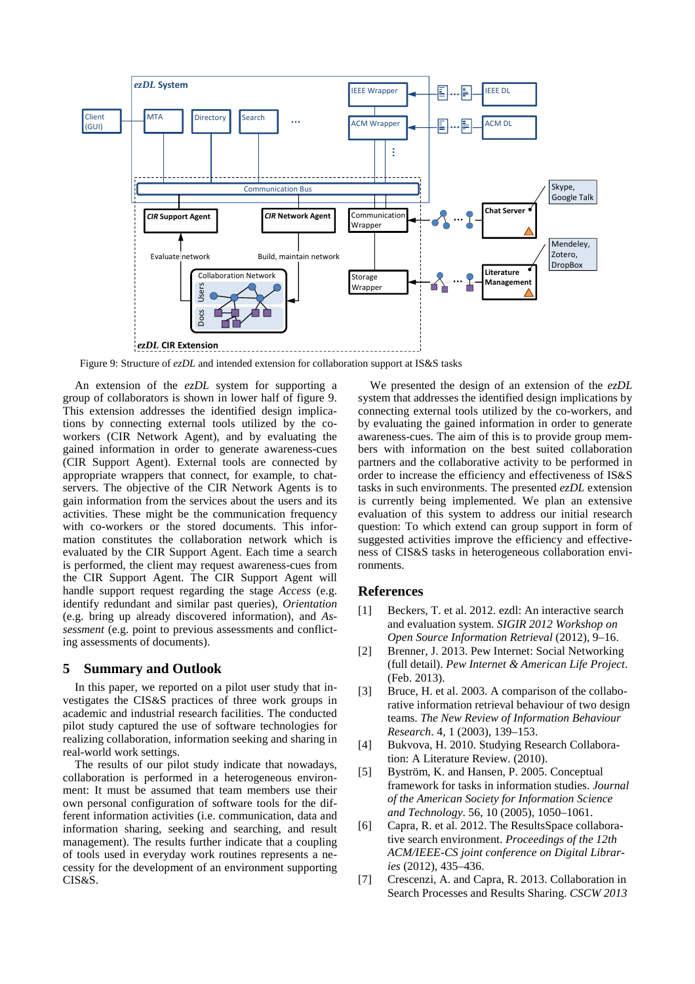

Figure 9: Structure of *ezDL* and intended extension for collaboration support at IS&S tasks

An extension of the *ezDL* system for supporting a group of collaborators is shown in lower half of figure 9. This extension addresses the identified design implications by connecting external tools utilized by the coworkers (CIR Network Agent), and by evaluating the gained information in order to generate awareness-cues (CIR Support Agent). External tools are connected by appropriate wrappers that connect, for example, to chatservers. The objective of the CIR Network Agents is to gain information from the services about the users and its activities. These might be the communication frequency with co-workers or the stored documents. This information constitutes the collaboration network which is evaluated by the CIR Support Agent. Each time a search is performed, the client may request awareness-cues from the CIR Support Agent. The CIR Support Agent will handle support request regarding the stage *Access* (e.g. identify redundant and similar past queries), *Orientation* (e.g. bring up already discovered information), and *Assessment* (e.g. point to previous assessments and conflicting assessments of documents).

## **5 Summary and Outlook**

In this paper, we reported on a pilot user study that investigates the CIS&S practices of three work groups in academic and industrial research facilities. The conducted pilot study captured the use of software technologies for realizing collaboration, information seeking and sharing in real-world work settings.

The results of our pilot study indicate that nowadays, collaboration is performed in a heterogeneous environment: It must be assumed that team members use their own personal configuration of software tools for the different information activities (i.e. communication, data and information sharing, seeking and searching, and result management). The results further indicate that a coupling of tools used in everyday work routines represents a necessity for the development of an environment supporting CIS&S.

We presented the design of an extension of the *ezDL* system that addresses the identified design implications by connecting external tools utilized by the co-workers, and by evaluating the gained information in order to generate awareness-cues. The aim of this is to provide group members with information on the best suited collaboration partners and the collaborative activity to be performed in order to increase the efficiency and effectiveness of IS&S tasks in such environments. The presented *ezDL* extension is currently being implemented. We plan an extensive evaluation of this system to address our initial research question: To which extend can group support in form of suggested activities improve the efficiency and effectiveness of CIS&S tasks in heterogeneous collaboration environments.

## **References**

- [1] Beckers, T. et al. 2012. ezdl: An interactive search and evaluation system. *SIGIR 2012 Workshop on Open Source Information Retrieval* (2012), 9–16.
- [2] Brenner, J. 2013. Pew Internet: Social Networking (full detail). *Pew Internet & American Life Project*. (Feb. 2013).
- [3] Bruce, H. et al. 2003. A comparison of the collaborative information retrieval behaviour of two design teams. *The New Review of Information Behaviour Research*. 4, 1 (2003), 139–153.
- [4] Bukvova, H. 2010. Studying Research Collaboration: A Literature Review. (2010).
- [5] Byström, K. and Hansen, P. 2005. Conceptual framework for tasks in information studies. *Journal of the American Society for Information Science and Technology*. 56, 10 (2005), 1050–1061.
- [6] Capra, R. et al. 2012. The ResultsSpace collaborative search environment. *Proceedings of the 12th ACM/IEEE-CS joint conference on Digital Libraries* (2012), 435–436.
- [7] Crescenzi, A. and Capra, R. 2013. Collaboration in Search Processes and Results Sharing. *CSCW 2013*